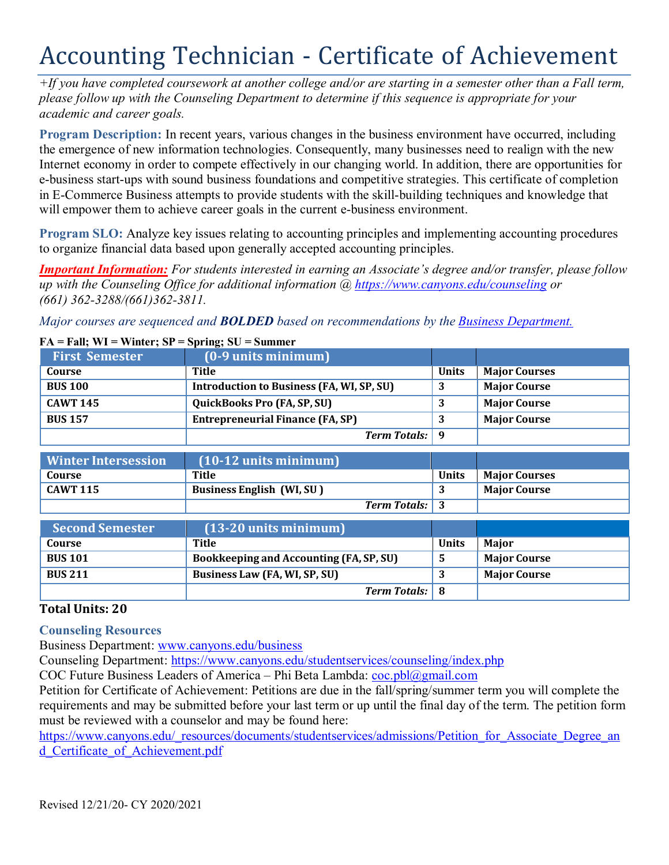# Accounting Technician - Certificate of Achievement

*+If you have completed coursework at another college and/or are starting in a semester other than a Fall term, please follow up with the Counseling Department to determine if this sequence is appropriate for your academic and career goals.*

**Program Description:** In recent years, various changes in the business environment have occurred, including the emergence of new information technologies. Consequently, many businesses need to realign with the new Internet economy in order to compete effectively in our changing world. In addition, there are opportunities for e-business start-ups with sound business foundations and competitive strategies. This certificate of completion in E-Commerce Business attempts to provide students with the skill-building techniques and knowledge that will empower them to achieve career goals in the current e-business environment.

**Program SLO:** Analyze key issues relating to accounting principles and implementing accounting procedures to organize financial data based upon generally accepted accounting principles.

*Important Information: For students interested in earning an Associate's degree and/or transfer, please follow up with the Counseling Office for additional information @ https:/[/www.canyons.edu/counseling](http://www.canyons.edu/counseling) or (661) 362-3288/(661)362-3811.*

*Major courses are sequenced and BOLDED based on recommendations by the Business Department.*

## **First Semester (0-9 units minimum) Course Title Title Title Units Major Courses BUS 100 Introduction to Business (FA, WI, SP, SU) 3 Major Course CAWT 145 QuickBooks Pro (FA, SP, SU) 3 Major Course BUS 157 Entrepreneurial Finance (FA, SP) 3 Major Course** *Term Totals:* **9 Winter Intersession (10-12 units minimum) Course Title Title Example 1 Units Major Courses CAWT 115 Business English (WI, SU ) 3 Major Course** *Term Totals:* **3 Second Semester (13-20 units minimum) Course Title Units Major BUS 101 Bookkeeping and Accounting (FA, SP, SU) 5 Major Course**

#### **FA = Fall; WI = Winter; SP = Spring; SU = Summer**

### **Total Units: 20**

### **Counseling Resources**

Business Department: [www.canyons.edu/business](http://www.canyons.edu/business)

Counseling Department: https:/[/www.canyons.edu/studentservices/counseling/index.php](http://www.canyons.edu/studentservices/counseling/index.php)

**BUS 211 Business Law (FA, WI, SP, SU) 3 Major Course**

COC Future Business Leaders of America – Phi Beta Lambda:  $\frac{\cosh(a)}{\cosh(a)}$ gmail.com

Petition for Certificate of Achievement: Petitions are due in the fall/spring/summer term you will complete the requirements and may be submitted before your last term or up until the final day of the term. The petition form must be reviewed with a counselor and may be found here:

*Term Totals:* **8**

https:/[/www.canyons.edu/\\_resources/documents/studentservices/admissions/Petition\\_for\\_Associate\\_Degree\\_an](http://www.canyons.edu/_resources/documents/studentservices/admissions/Petition_for_Associate_Degree_an) d Certificate of Achievement.pdf